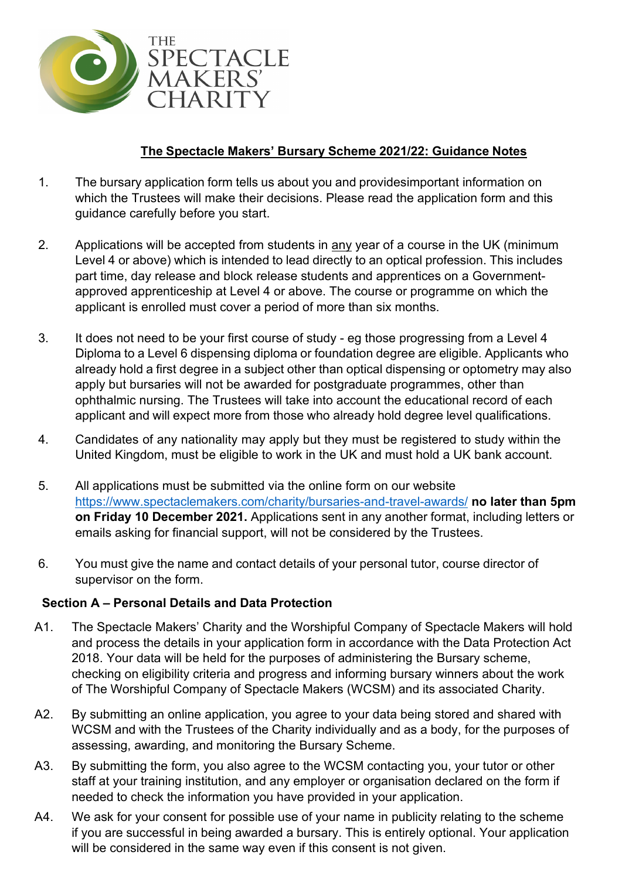

# **The Spectacle Makers' Bursary Scheme 2021/22: Guidance Notes**

- 1. The bursary application form tells us about you and providesimportant information on which the Trustees will make their decisions. Please read the application form and this guidance carefully before you start.
- 2. Applications will be accepted from students in any year of a course in the UK (minimum Level 4 or above) which is intended to lead directly to an optical profession. This includes part time, day release and block release students and apprentices on a Governmentapproved apprenticeship at Level 4 or above. The course or programme on which the applicant is enrolled must cover a period of more than six months.
- 3. It does not need to be your first course of study eg those progressing from a Level 4 Diploma to a Level 6 dispensing diploma or foundation degree are eligible. Applicants who already hold a first degree in a subject other than optical dispensing or optometry may also apply but bursaries will not be awarded for postgraduate programmes, other than ophthalmic nursing. The Trustees will take into account the educational record of each applicant and will expect more from those who already hold degree level qualifications.
- 4. Candidates of any nationality may apply but they must be registered to study within the United Kingdom, must be eligible to work in the UK and must hold a UK bank account.
- 5. All applications must be submitted via the online form on our website <https://www.spectaclemakers.com/charity/bursaries-and-travel-awards/> **no later than 5pm on Friday 10 December 2021.** Applications sent in any another format, including letters or emails asking for financial support, will not be considered by the Trustees.
- 6. You must give the name and contact details of your personal tutor, course director of supervisor on the form.

## **Section A – Personal Details and Data Protection**

- A1. The Spectacle Makers' Charity and the Worshipful Company of Spectacle Makers will hold and process the details in your application form in accordance with the Data Protection Act 2018. Your data will be held for the purposes of administering the Bursary scheme, checking on eligibility criteria and progress and informing bursary winners about the work of The Worshipful Company of Spectacle Makers (WCSM) and its associated Charity.
- A2. By submitting an online application, you agree to your data being stored and shared with WCSM and with the Trustees of the Charity individually and as a body, for the purposes of assessing, awarding, and monitoring the Bursary Scheme.
- A3. By submitting the form, you also agree to the WCSM contacting you, your tutor or other staff at your training institution, and any employer or organisation declared on the form if needed to check the information you have provided in your application.
- A4. We ask for your consent for possible use of your name in publicity relating to the scheme if you are successful in being awarded a bursary. This is entirely optional. Your application will be considered in the same way even if this consent is not given.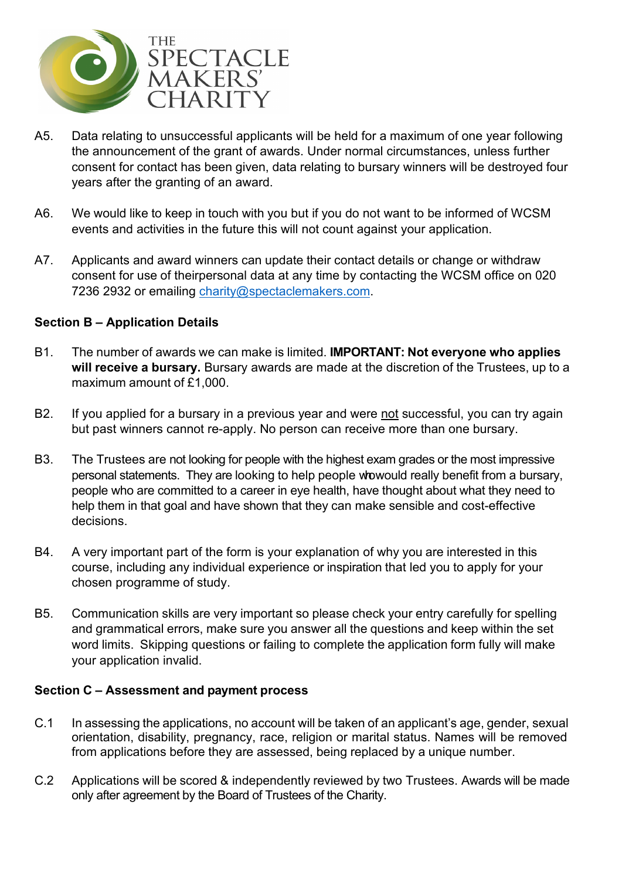

- A5. Data relating to unsuccessful applicants will be held for a maximum of one year following the announcement of the grant of awards. Under normal circumstances, unless further consent for contact has been given, data relating to bursary winners will be destroyed four years after the granting of an award.
- A6. We would like to keep in touch with you but if you do not want to be informed of WCSM events and activities in the future this will not count against your application.
- A7. Applicants and award winners can update their contact details or change or withdraw consent for use of theirpersonal data at any time by contacting the WCSM office on 020 7236 2932 or emailing [charity@spectaclemakers.com.](mailto:charity@spectaclemakers.com)

## **Section B – Application Details**

- B1. The number of awards we can make is limited. **IMPORTANT: Not everyone who applies will receive a bursary.** Bursary awards are made at the discretion of the Trustees, up to a maximum amount of £1,000.
- B2. If you applied for a bursary in a previous year and were not successful, you can try again but past winners cannot re-apply. No person can receive more than one bursary.
- B3. The Trustees are not looking for people with the highest exam grades or the most impressive personal statements. They are looking to help people whowould really benefit from a bursary, people who are committed to a career in eye health, have thought about what they need to help them in that goal and have shown that they can make sensible and cost-effective decisions.
- B4. A very important part of the form is your explanation of why you are interested in this course, including any individual experience or inspiration that led you to apply for your chosen programme of study.
- B5. Communication skills are very important so please check your entry carefully for spelling and grammatical errors, make sure you answer all the questions and keep within the set word limits. Skipping questions or failing to complete the application form fully will make your application invalid.

### **Section C – Assessment and payment process**

- C.1 In assessing the applications, no account will be taken of an applicant's age, gender, sexual orientation, disability, pregnancy, race, religion or marital status. Names will be removed from applications before they are assessed, being replaced by a unique number.
- C.2 Applications will be scored & independently reviewed by two Trustees. Awards will be made only after agreement by the Board of Trustees of the Charity.